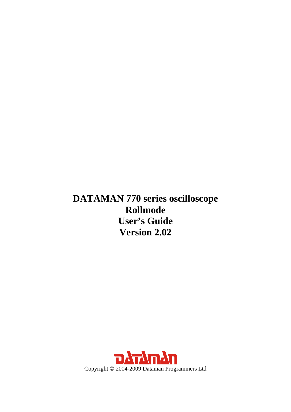<span id="page-0-0"></span>**DATAMAN 770 series oscilloscope Rollmode User's Guide Version 2.02** 

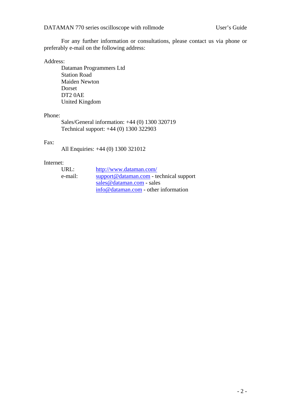For any further information or consultations, please contact us via phone or preferably e-mail on the following address:

#### Address:

 Dataman Programmers Ltd Station Road Maiden Newton Dorset DT2 0AE United Kingdom

### Phone:

 Sales/General information: +44 (0) 1300 320719 Technical support: +44 (0) 1300 322903

#### Fax:

All Enquiries: +44 (0) 1300 321012

#### Internet:

| URL:    | http://www.dataman.com/                   |
|---------|-------------------------------------------|
| e-mail: | $support@dataman.com - technical support$ |
|         | sales @dataman.com - sales                |
|         | info@dataman.com - other information      |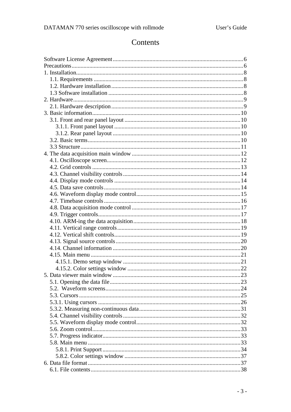# Contents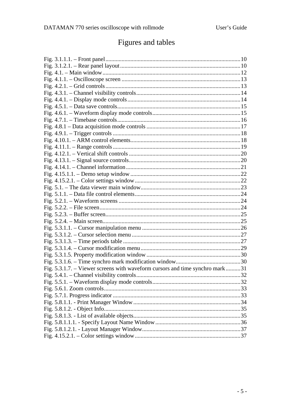# Figures and tables

| Fig. 5.3.1.7. – Viewer screens with waveform cursors and time synchro mark31 |  |
|------------------------------------------------------------------------------|--|
|                                                                              |  |
|                                                                              |  |
|                                                                              |  |
|                                                                              |  |
|                                                                              |  |
|                                                                              |  |
|                                                                              |  |
|                                                                              |  |
|                                                                              |  |
|                                                                              |  |
|                                                                              |  |
|                                                                              |  |
|                                                                              |  |
|                                                                              |  |
|                                                                              |  |
|                                                                              |  |
|                                                                              |  |
|                                                                              |  |
|                                                                              |  |
|                                                                              |  |
|                                                                              |  |
|                                                                              |  |
|                                                                              |  |
|                                                                              |  |
|                                                                              |  |
|                                                                              |  |
|                                                                              |  |
|                                                                              |  |
|                                                                              |  |
|                                                                              |  |
|                                                                              |  |
|                                                                              |  |
|                                                                              |  |
|                                                                              |  |
|                                                                              |  |
|                                                                              |  |
|                                                                              |  |
|                                                                              |  |
|                                                                              |  |
|                                                                              |  |
|                                                                              |  |
|                                                                              |  |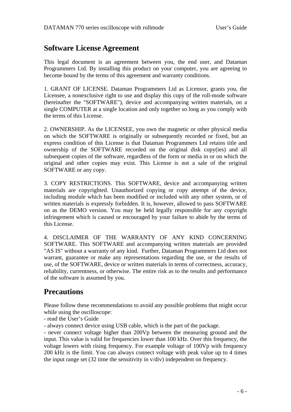# <span id="page-5-0"></span>**Software License Agreement**

This legal document is an agreement between you, the end user, and Dataman Programmers Ltd. By installing this product on your computer, you are agreeing to become bound by the terms of this agreement and warranty conditions.

1. GRANT OF LICENSE. Dataman Programmers Ltd as Licensor, grants you, the Licensee, a nonexclusive right to use and display this copy of the roll-mode software (hereinafter the "SOFTWARE"), device and accompanying written materials, on a single COMPUTER at a single location and only together so long as you comply with the terms of this License.

2. OWNERSHIP. As the LICENSEE, you own the magnetic or other physical media on which the SOFTWARE is originally or subsequently recorded or fixed, but an express condition of this License is that Dataman Programmers Ltd retains title and ownership of the SOFTWARE recorded on the original disk copy(ies) and all subsequent copies of the software, regardless of the form or media in or on which the original and other copies may exist. This License is not a sale of the original SOFTWARE or any copy.

3. COPY RESTRICTIONS. This SOFTWARE, device and accompanying written materials are copyrighted. Unauthorized copying or copy attempt of the device, including module which has been modified or included with any other system, or of written materials is expressly forbidden. It is, however, allowed to pass SOFTWARE on as the DEMO version. You may be held legally responsible for any copyright infringement which is caused or encouraged by your failure to abide by the terms of this License.

4. DISCLAIMER OF THE WARRANTY OF ANY KIND CONCERNING SOFTWARE. This SOFTWARE and accompanying written materials are provided "AS IS" without a warranty of any kind. Further, Dataman Programmers Ltd does not warrant, guarantee or make any representations regarding the use, or the results of use, of the SOFTWARE, device or written materials in terms of correctness, accuracy, reliability, currentness, or otherwise. The entire risk as to the results and performance of the software is assumed by you.

# **Precautions**

Please follow these recommendations to avoid any possible problems that might occur while using the oscilloscope:

- read the User's Guide

- always connect device using USB cable, which is the part of the package.

- never connect voltage higher than 200Vp between the measuring ground and the input. This value is valid for frequencies lower than 100 kHz. Over this frequency, the voltage lowers with rising frequency. For example voltage of 100Vp with frequency 200 kHz is the limit. You can always connect voltage with peak value up to 4 times the input range set (32 time the sensitivity in v/div) independent on frequency.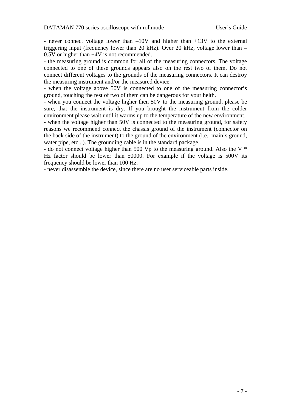- never connect voltage lower than –10V and higher than +13V to the external triggering input (frequency lower than 20 kHz). Over 20 kHz, voltage lower than – 0.5V or higher than +4V is not recommended.

- the measuring ground is common for all of the measuring connectors. The voltage connected to one of these grounds appears also on the rest two of them. Do not connect different voltages to the grounds of the measuring connectors. It can destroy the measuring instrument and/or the measured device.

- when the voltage above 50V is connected to one of the measuring connector's ground, touching the rest of two of them can be dangerous for your helth.

- when you connect the voltage higher then 50V to the measuring ground, please be sure, that the instrument is dry. If you brought the instrument from the colder environment please wait until it warms up to the temperature of the new environment.

- when the voltage higher than 50V is connected to the measuring ground, for safety reasons we recommend connect the chassis ground of the instrument (connector on the back side of the instrument) to the ground of the environment (i.e. main's ground, water pipe, etc...). The grounding cable is in the standard package.

- do not connect voltage higher than 500 Vp to the measuring ground. Also the V \* Hz factor should be lower than 50000. For example if the voltage is 500V its frequency should be lower than 100 Hz.

- never disassemble the device, since there are no user serviceable parts inside.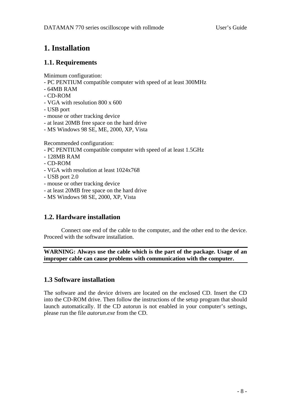# <span id="page-7-0"></span>**1. Installation**

# **1.1. Requirements**

Minimum configuration:

- PC PENTIUM compatible computer with speed of at least 300MHz
- 64MB RAM
- CD-ROM
- VGA with resolution 800 x 600
- USB port
- mouse or other tracking device
- at least 20MB free space on the hard drive
- MS Windows 98 SE, ME, 2000, XP, Vista

Recommended configuration:

- PC PENTIUM compatible computer with speed of at least 1.5GHz
- 128MB RAM
- CD-ROM
- VGA with resolution at least 1024x768
- USB port 2.0
- mouse or other tracking device
- at least 20MB free space on the hard drive
- MS Windows 98 SE, 2000, XP, Vista

# **1.2. Hardware installation**

 Connect one end of the cable to the computer, and the other end to the device. Proceed with the software installation.

**WARNING: Always use the cable which is the part of the package. Usage of an improper cable can cause problems with communication with the computer.** 

# **1.3 Software installation**

The software and the device drivers are located on the enclosed CD. Insert the CD into the CD-ROM drive. Then follow the instructions of the setup program that should launch automatically. If the CD autorun is not enabled in your computer's settings, please run the file *autorun.exe* from the CD.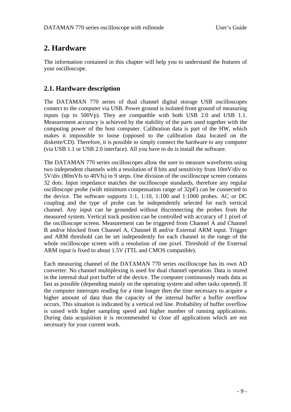# <span id="page-8-0"></span>**2. Hardware**

The information contained in this chapter will help you to understand the features of your oscilloscope.

# **2.1. Hardware description**

The DATAMAN 770 series of dual channel digital storage USB oscilloscopes connect to the computer via USB. Power ground is isolated from ground of measuring inputs (up to 500Vp). They are compatible with both USB 2.0 and USB 1.1. Measurement accuracy is achieved by the stability of the parts used together with the computing power of the host computer. Calibration data is part of the HW, which makes it impossible to loose (opposed to the calibration data located on the diskette/CD). Therefore, it is possible to simply connect the hardware to any computer (via USB 1.1 or USB 2.0 interface). All you have to do is install the software.

The DATAMAN 770 series oscilloscopes allow the user to measure waveforms using two independent channels with a resolution of 8 bits and sensitivity from 10mV/div to 5V/div (80mVfs to 40Vfs) in 9 steps. One division of the oscilloscope screen contains 32 dots. Input impedance matches the oscilloscope standards, therefore any regular oscilloscope probe (with minimum compensation range of 32pF) can be connected to the device. The software supports 1:1, 1:10, 1:100 and 1:1000 probes. AC or DC coupling and the type of probe can be independently selected for each vertical channel. Any input can be grounded without disconnecting the probes from the measured system. Vertical track position can be controlled with accuracy of 1 pixel of the oscilloscope screen. Measurement can be triggered from Channel A and Channel B and/or blocked from Channel A, Channel B and/or External ARM input. Trigger and ARM threshold can be set independently for each channel in the range of the whole oscilloscope screen with a resolution of one pixel. Threshold of the External ARM input is fixed to about 1.5V (TTL and CMOS compatible).

Each measuring channel of the DATAMAN 770 series oscilloscope has its own AD converter. No channel multiplexing is used for dual channel operation. Data is stored in the internal dual port buffer of the device. The computer continuously reads data as fast as possible (depending mainly on the operating system and other tasks opened). If the computer interrupts reading for a time longer then the time necessary to acquire a higher amount of data than the capacity of the internal buffer a buffer overflow occurs. This situation is indicated by a vertical red line. Probability of buffer overflow is raised with higher sampling speed and higher number of running applications. During data acquisition it is recommended to close all applications which are not necessary for your current work.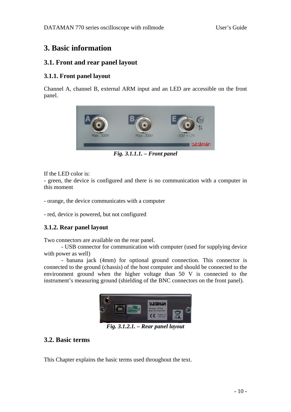# <span id="page-9-0"></span>**3. Basic information**

# **3.1. Front and rear panel layout**

## **3.1.1. Front panel layout**

Channel A, channel B, external ARM input and an LED are accessible on the front panel.



*Fig. 3.1.1.1. – Front panel* 

If the LED color is:

- green, the device is configured and there is no communication with a computer in this moment

- orange, the device communicates with a computer

- red, device is powered, but not configured

### **3.1.2. Rear panel layout**

Two connectors are available on the rear panel.

 - USB connector for communication with computer (used for supplying device with power as well)

 - banana jack (4mm) for optional ground connection. This connector is connected to the ground (chassis) of the host computer and should be connected to the environment ground when the higher voltage than 50 V is connected to the instrument's measuring ground (shielding of the BNC connectors on the front panel).



*Fig. 3.1.2.1. – Rear panel layout* 

# **3.2. Basic terms**

This Chapter explains the basic terms used throughout the text.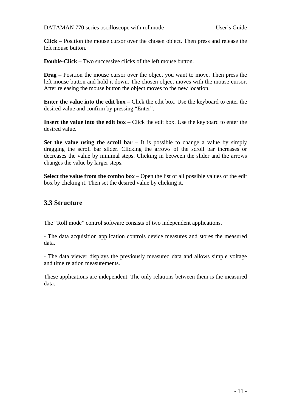<span id="page-10-0"></span>**Click** – Position the mouse cursor over the chosen object. Then press and release the left mouse button.

**Double-Click** – Two successive clicks of the left mouse button.

**Drag** – Position the mouse cursor over the object you want to move. Then press the left mouse button and hold it down. The chosen object moves with the mouse cursor. After releasing the mouse button the object moves to the new location.

**Enter the value into the edit box** – Click the edit box. Use the keyboard to enter the desired value and confirm by pressing "Enter".

**Insert the value into the edit box** – Click the edit box. Use the keyboard to enter the desired value.

**Set the value using the scroll bar** – It is possible to change a value by simply dragging the scroll bar slider. Clicking the arrows of the scroll bar increases or decreases the value by minimal steps. Clicking in between the slider and the arrows changes the value by larger steps.

**Select the value from the combo box** – Open the list of all possible values of the edit box by clicking it. Then set the desired value by clicking it.

# **3.3 Structure**

The "Roll mode" control software consists of two independent applications.

- The data acquisition application controls device measures and stores the measured data.

- The data viewer displays the previously measured data and allows simple voltage and time relation measurements.

These applications are independent. The only relations between them is the measured data.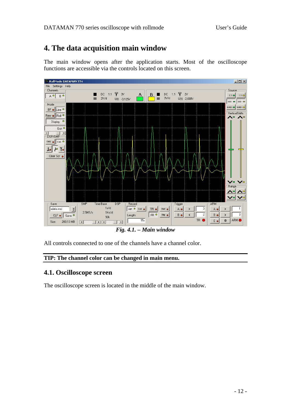# <span id="page-11-0"></span>**4. The data acquisition main window**

The main window opens after the application starts. Most of the oscilloscope functions are accessible via the controls located on this screen.



*Fig. 4.1. – Main window* 

All controls connected to one of the channels have a channel color.

### **TIP: The channel color can be changed in main menu.**

## **4.1. Oscilloscope screen**

The oscilloscope screen is located in the middle of the main window.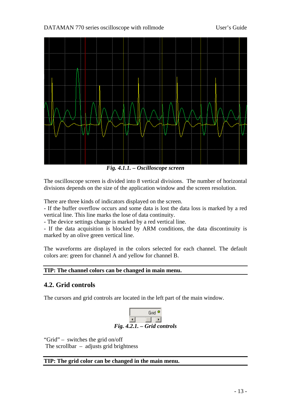<span id="page-12-0"></span>DATAMAN 770 series oscilloscope with rollmode User's Guide



*Fig. 4.1.1. – Oscilloscope screen* 

The oscilloscope screen is divided into 8 vertical divisions. The number of horizontal divisions depends on the size of the application window and the screen resolution.

There are three kinds of indicators displayed on the screen.

- If the buffer overflow occurs and some data is lost the data loss is marked by a red vertical line. This line marks the lose of data continuity.

- The device settings change is marked by a red vertical line.

- If the data acquisition is blocked by ARM conditions, the data discontinuity is marked by an olive green vertical line.

The waveforms are displayed in the colors selected for each channel. The default colors are: green for channel A and yellow for channel B.

## **TIP: The channel colors can be changed in main menu.**

# **4.2. Grid controls**

The cursors and grid controls are located in the left part of the main window.



"Grid" – switches the grid on/off

The scrollbar  $-$  adjusts grid brightness

### **TIP: The grid color can be changed in the main menu.**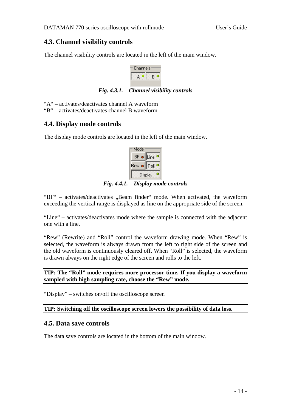# <span id="page-13-0"></span>**4.3. Channel visibility controls**

The channel visibility controls are located in the left of the main window.



*Fig. 4.3.1. – Channel visibility controls* 

"A" – activates/deactivates channel A waveform

"B" – activates/deactivates channel B waveform

# **4.4. Display mode controls**

The display mode controls are located in the left of the main window.

| Mode   |         |
|--------|---------|
| BF o   | Line    |
| Rew ●∥ | Roll    |
|        | Display |

*Fig. 4.4.1. – Display mode controls* 

" $BF'$  – activates/deactivates "Beam finder" mode. When activated, the waveform exceeding the vertical range is displayed as line on the appropriate side of the screen.

"Line" – activates/deactivates mode where the sample is connected with the adjacent one with a line.

"Rew" (Rewrite) and "Roll" control the waveform drawing mode. When "Rew" is selected, the waveform is always drawn from the left to right side of the screen and the old waveform is continuously cleared off. When "Roll" is selected, the waveform is drawn always on the right edge of the screen and rolls to the left.

**TIP: The "Roll" mode requires more processor time. If you display a waveform sampled with high sampling rate, choose the "Rew" mode.** 

"Display" – switches on/off the oscilloscope screen

**TIP: Switching off the oscilloscope screen lowers the possibility of data loss.** 

# **4.5. Data save controls**

The data save controls are located in the bottom of the main window.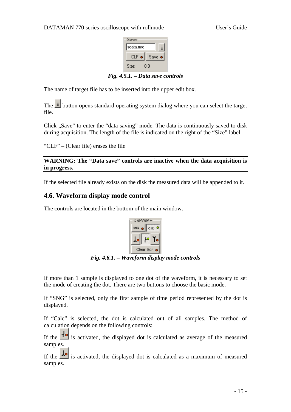

*Fig. 4.5.1. – Data save controls* 

<span id="page-14-0"></span>The name of target file has to be inserted into the upper edit box.

The  $\equiv$  button opens standard operating system dialog where you can select the target file.

Click "Save" to enter the "data saving" mode. The data is continuously saved to disk during acquisition. The length of the file is indicated on the right of the "Size" label.

"CLF" – (Clear file) erases the file

**WARNING: The "Data save" controls are inactive when the data acquisition is in progress.** 

If the selected file already exists on the disk the measured data will be appended to it.

# **4.6. Waveform display mode control**

The controls are located in the bottom of the main window.



*Fig. 4.6.1. – Waveform display mode controls* 

If more than 1 sample is displayed to one dot of the waveform, it is necessary to set the mode of creating the dot. There are two buttons to choose the basic mode.

If "SNG" is selected, only the first sample of time period represented by the dot is displayed.

If "Calc" is selected, the dot is calculated out of all samples. The method of calculation depends on the following controls:

If the  $\mathbf{I}$  is activated, the displayed dot is calculated as average of the measured samples.

If the  $\frac{1}{\sqrt{2}}$  is activated, the displayed dot is calculated as a maximum of measured samples.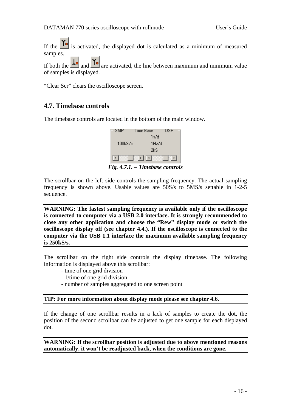<span id="page-15-0"></span>If the  $\Gamma$  is activated, the displayed dot is calculated as a minimum of measured samples.

If both the  $\frac{1}{\sqrt{2}}$  and  $\frac{1}{\sqrt{2}}$  are activated, the line between maximum and minimum value of samples is displayed.

"Clear Scr" clears the oscilloscope screen.

## **4.7. Timebase controls**

The timebase controls are located in the bottom of the main window.



*Fig. 4.7.1. – Timebase controls* 

The scrollbar on the left side controls the sampling frequency. The actual sampling frequency is shown above. Usable values are 50S/s to 5MS/s settable in 1-2-5 sequence.

**WARNING: The fastest sampling frequency is available only if the oscilloscope is connected to computer via a USB 2.0 interface. It is strongly recommended to close any other application and choose the "Rew" display mode or switch the oscilloscope display off (see chapter 4.4.). If the oscilloscope is connected to the computer via the USB 1.1 interface the maximum available sampling frequency is 250kS/s.** 

The scrollbar on the right side controls the display timebase. The following information is displayed above this scrollbar:

- time of one grid division
- 1/time of one grid division
- number of samples aggregated to one screen point

### **TIP: For more information about display mode please see chapter 4.6.**

If the change of one scrollbar results in a lack of samples to create the dot, the position of the second scrollbar can be adjusted to get one sample for each displayed dot.

**WARNING: If the scrollbar position is adjusted due to above mentioned reasons automatically, it won't be readjusted back, when the conditions are gone.**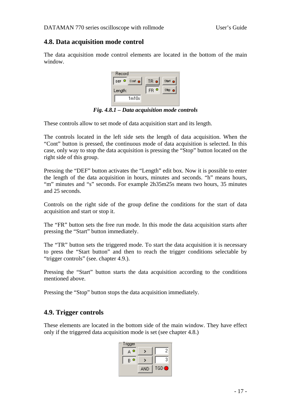# <span id="page-16-0"></span>**4.8. Data acquisition mode control**

The data acquisition mode control elements are located in the bottom of the main window.



*Fig. 4.8.1 – Data acquisition mode controls* 

These controls allow to set mode of data acquisition start and its length.

The controls located in the left side sets the length of data acquisition. When the "Cont" button is pressed, the continuous mode of data acquisition is selected. In this case, only way to stop the data acquisition is pressing the "Stop" button located on the right side of this group.

Pressing the "DEF" button activates the "Length" edit box. Now it is possible to enter the length of the data acquisition in hours, minutes and seconds. "h" means hours, "m" minutes and "s" seconds. For example 2h35m25s means two hours, 35 minutes and 25 seconds.

Controls on the right side of the group define the conditions for the start of data acquisition and start or stop it.

The "FR" button sets the free run mode. In this mode the data acquisition starts after pressing the "Start" button immediately.

The "TR" button sets the triggered mode. To start the data acquisition it is necessary to press the "Start button" and then to reach the trigger conditions selectable by "trigger controls" (see. chapter 4.9.).

Pressing the "Start" button starts the data acquisition according to the conditions mentioned above.

Pressing the "Stop" button stops the data acquisition immediately.

# **4.9. Trigger controls**

These elements are located in the bottom side of the main window. They have effect only if the triggered data acquisition mode is set (see chapter 4.8.)

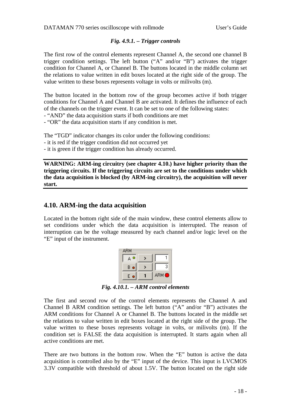### *Fig. 4.9.1. – Trigger controls*

<span id="page-17-0"></span>The first row of the control elements represent Channel A, the second one channel B trigger condition settings. The left button ("A" and/or "B") activates the trigger condition for Channel A, or Channel B. The buttons located in the middle column set the relations to value written in edit boxes located at the right side of the group. The value written to these boxes represents voltage in volts or milivolts (m).

The button located in the bottom row of the group becomes active if both trigger conditions for Channel A and Channel B are activated. It defines the influence of each of the channels on the trigger event. It can be set to one of the following states:

- "AND" the data acquisition starts if both conditions are met

- "OR" the data acquisition starts if any condition is met.

The "TGD" indicator changes its color under the following conditions:

- it is red if the trigger condition did not occurred yet

- it is green if the trigger condition has already occurred.

**WARNING: ARM-ing circuitry (see chapter 4.10.) have higher priority than the triggering circuits. If the triggering circuits are set to the conditions under which the data acquisition is blocked (by ARM-ing circuitry), the acquisition will never start.** 

### **4.10. ARM-ing the data acquisition**

Located in the bottom right side of the main window, these control elements allow to set conditions under which the data acquisition is interrupted. The reason of interruption can be the voltage measured by each channel and/or logic level on the "E" input of the instrument.

| З     |
|-------|
| ARM ● |
|       |

*Fig. 4.10.1. – ARM control elements* 

The first and second row of the control elements represents the Channel A and Channel B ARM condition settings. The left button ("A" and/or "B") activates the ARM conditions for Channel A or Channel B. The buttons located in the middle set the relations to value written in edit boxes located at the right side of the group. The value written to these boxes represents voltage in volts, or milivolts (m). If the condition set is FALSE the data acquisition is interrupted. It starts again when all active conditions are met.

There are two buttons in the bottom row. When the "E" button is active the data acquisition is controlled also by the "E" input of the device. This input is LVCMOS 3.3V compatible with threshold of about 1.5V. The button located on the right side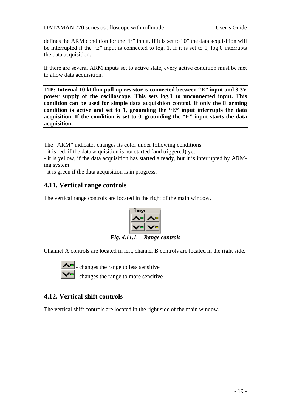<span id="page-18-0"></span>defines the ARM condition for the "E" input. If it is set to "0" the data acquisition will be interrupted if the "E" input is connected to log. 1. If it is set to 1, log.0 interrupts the data acquisition.

If there are several ARM inputs set to active state, every active condition must be met to allow data acquisition.

**TIP: Internal 10 kOhm pull-up resistor is connected between "E" input and 3.3V power supply of the oscilloscope. This sets log.1 to unconnected input. This condition can be used for simple data acquisition control. If only the E arming condition is active and set to 1, grounding the "E" input interrupts the data acquisition. If the condition is set to 0, grounding the "E" input starts the data acquisition.** 

The "ARM" indicator changes its color under following conditions:

- it is red, if the data acquisition is not started (and triggered) yet

- it is yellow, if the data acquisition has started already, but it is interrupted by ARMing system

- it is green if the data acquisition is in progress.

# **4.11. Vertical range controls**

The vertical range controls are located in the right of the main window.



*Fig. 4.11.1. – Range controls* 

Channel A controls are located in left, channel B controls are located in the right side.



 - changes the range to less sensitive - changes the range to more sensitive

# **4.12. Vertical shift controls**

The vertical shift controls are located in the right side of the main window.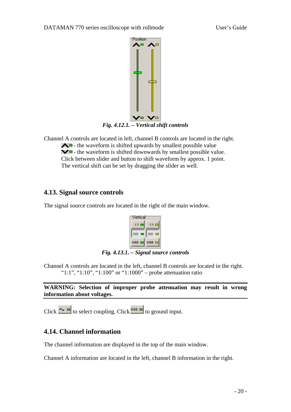<span id="page-19-0"></span>

Channel A controls are located in left, channel B controls are located in the right.  $\triangle$  - the waveform is shifted upwards by smallest possible value  $\blacktriangleright$  - the waveform is shifted downwards by smallest possible value. Click between slider and button to shift waveform by approx. 1 point. The vertical shift can be set by dragging the slider as well.

# **4.13. Signal source controls**

The signal source controls are located in the right of the main window.



*Fig. 4.13.1. – Signal source controls* 

Channel A controls are located in the left, channel B controls are located in the right. "1:1", "1:10", "1:100" or "1:1000" – probe attenuation ratio

**WARNING: Selection of improper probe attenuation may result in wrong information about voltages.** 

Click  $\sim$   $\blacksquare$  to select coupling. Click  $\blacksquare$  to ground input.

# **4.14. Channel information**

The channel information are displayed in the top of the main window.

Channel A information are located in the left, channel B information in the right.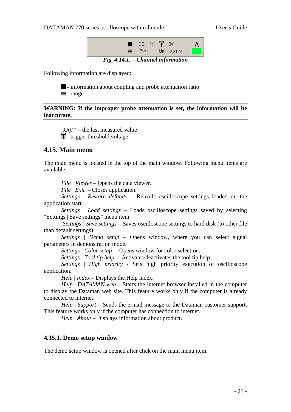<span id="page-20-0"></span>DATAMAN 770 series oscilloscope with rollmode User's Guide



*Fig. 4.14.1. – Channel information* 

Following information are displayed:



 $\blacksquare$  - information about coupling and probe attenuation ratio  $\equiv$  - range

**WARNING: If the improper probe attenuation is set, the information will be inaccurate.** 

 $U(t)$ " – the last measured value  $\overline{\mathbf{f}}$  - trigger threshold voltage

### **4.15. Main menu**

The main menu is located in the top of the main window. Following menu items are available:

*File | Viewer* – Opens the data viewer.

*File | Exit –* Closes application.

*Settings | Restore defaults –* Reloads oscilloscope settings loaded on the application start.

*Settings | Load settings* – Loads oscilloscope settings saved by selecting "Settings | Save settings" menu item.

 *Settings | Save settings –* Saves oscilloscope settings to hard disk (to other file than default settings).

*Settings | Demo setup –* Opens window, where you can select signal parameters in demonstration mode.

*Settings | Color setup* – Opens window for color selection.

*Settings | Tool tip help* – Activates/deactivates the tool tip help.

*Settings* | *High priority* - Sets high priority execution of oscilloscope application.

*Help* | *Index –* Displays the Help index.

*Help* | *DATAMAN web* – Starts the internet browser installed in the computer to display the Dataman web site. This feature works only if the computer is already connected to internet.

*Help* | *Support* – Sends the e-mail message to the Dataman customer support. This feature works only if the computer has connection to internet.

*Help | About – Displays information about product.* 

### **4.15.1. Demo setup window**

The demo setup window is opened after click on the main menu item.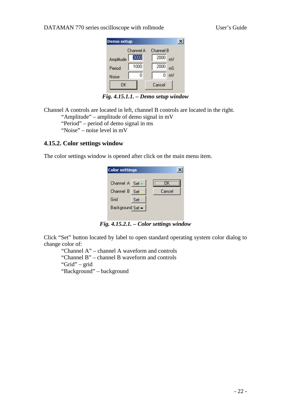#### <span id="page-21-0"></span>DATAMAN 770 series oscilloscope with rollmode User's Guide

| <b>Demo</b> setup |           |            |  |
|-------------------|-----------|------------|--|
|                   | Channel A | Channel B  |  |
| Amplitude         | 3000      | 2000<br>mV |  |
| Period            | 1000      | 2000<br>mS |  |
| Noise             | Ω         | mV<br>0    |  |
| ΠK                |           | Cancel     |  |
|                   |           |            |  |

*Fig. 4.15.1.1. – Demo setup window* 

Channel A controls are located in left, channel B controls are located in the right. "Amplitude" – amplitude of demo signal in mV

"Period" – period of demo signal in ms

"Noise" – noise level in mV

### **4.15.2. Color settings window**

The color settings window is opened after click on the main menu item.

| <b>Color settings</b> |      |        |
|-----------------------|------|--------|
| Channel $A$ Set $-$   |      | ПK     |
| Channel B             | -Set | Cancel |
| Grid                  | Set  |        |
| Background Set =      |      |        |
|                       |      |        |

*Fig. 4.15.2.1. – Color settings window* 

Click "Set" button located by label to open standard operating system color dialog to change color of:

 "Channel A" – channel A waveform and controls "Channel B" – channel B waveform and controls "Grid" – grid

"Background" – background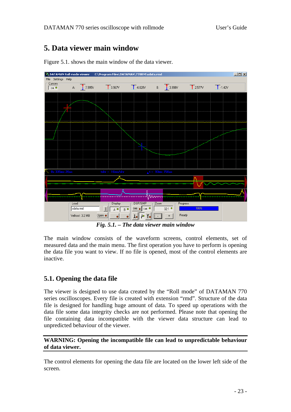# <span id="page-22-0"></span>**5. Data viewer main window**



Figure 5.1. shows the main window of the data viewer.

*Fig. 5.1. – The data viewer main window* 

The main window consists of the waveform screens, control elements, set of measured data and the main menu. The first operation you have to perform is opening the data file you want to view. If no file is opened, most of the control elements are inactive.

# **5.1. Opening the data file**

The viewer is designed to use data created by the "Roll mode" of DATAMAN 770 series oscilloscopes. Every file is created with extension "rmd". Structure of the data file is designed for handling huge amount of data. To speed up operations with the data file some data integrity checks are not performed. Please note that opening the file containing data incompatible with the viewer data structure can lead to unpredicted behaviour of the viewer.

### **WARNING: Opening the incompatible file can lead to unpredictable behaviour of data viewer.**

The control elements for opening the data file are located on the lower left side of the screen.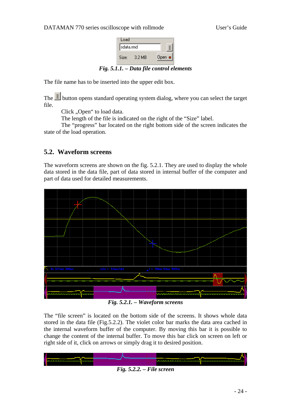

*Fig. 5.1.1. – Data file control elements* 

<span id="page-23-0"></span>The file name has to be inserted into the upper edit box.

The  $\equiv$  button opens standard operating system dialog, where you can select the target file.

Click "Open" to load data.

The length of the file is indicated on the right of the "Size" label.

The "progress" bar located on the right bottom side of the screen indicates the state of the load operation.

# **5.2. Waveform screens**

The waveform screens are shown on the fig. 5.2.1. They are used to display the whole data stored in the data file, part of data stored in internal buffer of the computer and part of data used for detailed measurements.



*Fig. 5.2.1. – Waveform screens* 

The "file screen" is located on the bottom side of the screens. It shows whole data stored in the data file (Fig.5.2.2). The violet color bar marks the data area cached in the internal waveform buffer of the computer. By moving this bar it is possible to change the content of the internal buffer. To move this bar click on screen on left or right side of it, click on arrows or simply drag it to desired position.

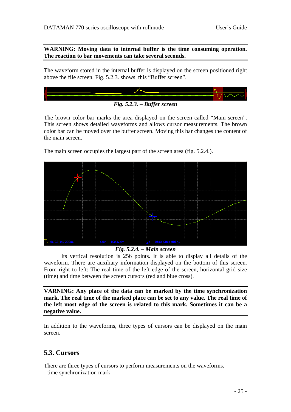<span id="page-24-0"></span>**WARNING: Moving data to internal buffer is the time consuming operation. The reaction to bar movements can take several seconds.** 

The waveform stored in the internal buffer is displayed on the screen positioned right above the file screen. Fig. 5.2.3. shows this "Buffer screen".



The brown color bar marks the area displayed on the screen called "Main screen". This screen shows detailed waveforms and allows cursor measurements. The brown color bar can be moved over the buffer screen. Moving this bar changes the content of the main screen.

The main screen occupies the largest part of the screen area (fig. 5.2.4.).

#### *Fig. 5.2.4. – Main screen*

Its vertical resolution is 256 points. It is able to display all details of the waveform. There are auxiliary information displayed on the bottom of this screen. From right to left: The real time of the left edge of the screen, horizontal grid size (time) and time between the screen cursors (red and blue cross).

**VARNING: Any place of the data can be marked by the time synchronization mark. The real time of the marked place can be set to any value. The real time of the left most edge of the screen is related to this mark. Sometimes it can be a negative value.** 

In addition to the waveforms, three types of cursors can be displayed on the main screen.

### **5.3. Cursors**

There are three types of cursors to perform measurements on the waveforms.

- time synchronization mark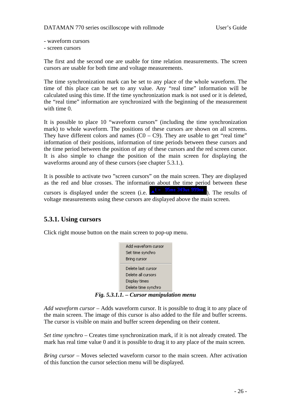- <span id="page-25-0"></span>- waveform cursors
- screen cursors

The first and the second one are usable for time relation measurements. The screen cursors are usable for both time and voltage measurements.

The time synchronization mark can be set to any place of the whole waveform. The time of this place can be set to any value. Any "real time" information will be calculated using this time. If the time synchronization mark is not used or it is deleted, the "real time" information are synchronized with the beginning of the measurement with time 0.

It is possible to place 10 "waveform cursors" (including the time synchronization mark) to whole waveform. The positions of these cursors are shown on all screens. They have different colors and names  $(C0 - C9)$ . They are usable to get "real time" information of their positions, information of time periods between these cursors and the time period between the position of any of these cursors and the red screen cursor. It is also simple to change the position of the main screen for displaying the waveforms around any of these cursors (see chapter 5.3.1.).

It is possible to activate two "screen cursors" on the main screen. They are displayed as the red and blue crosses. The information about the time period between these cursors is displayed under the screen (i.e.  $\triangle^t = \frac{95 \text{ms}}{349 \text{us}} \frac{349 \text{ms}}{999 \text{ns}}$ ). The results of voltage measurements using these cursors are displayed above the main screen.

# **5.3.1. Using cursors**

Click right mouse button on the main screen to pop-up menu.



*Fig. 5.3.1.1. – Cursor manipulation menu* 

*Add waveform cursor* – Adds waveform cursor. It is possible to drag it to any place of the main screen. The image of this cursor is also added to the file and buffer screens. The cursor is visible on main and buffer screen depending on their content.

*Set time synchro* – Creates time synchronization mark, if it is not already created. The mark has real time value 0 and it is possible to drag it to any place of the main screen.

*Bring cursor* – Moves selected waveform cursor to the main screen. After activation of this function the cursor selection menu will be displayed.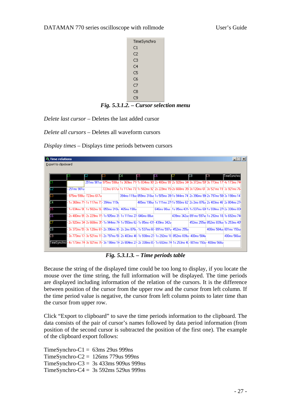#### <span id="page-26-0"></span>DATAMAN 770 series oscilloscope with rollmode User's Guide



*Fig. 5.3.1.2. – Cursor selection menu* 

*Delete last cursor –* Deletes the last added cursor

*Delete all cursors –* Deletes all waveform cursors

*Display times* – Displays time periods between cursors

|            |                           | 33                                                               | C4 | C5 | IС6                                                                           |                                                                                           | IC8 | C9                                                                                                                     | ∏imeSynchro |
|------------|---------------------------|------------------------------------------------------------------|----|----|-------------------------------------------------------------------------------|-------------------------------------------------------------------------------------------|-----|------------------------------------------------------------------------------------------------------------------------|-------------|
|            |                           |                                                                  |    |    |                                                                               |                                                                                           |     | 251 ms 981 us 975ms 598us 1 s 369ms 711 1 s 834ms 90! 2s 480ms 99" 2s 920ms 34! 3s 372ms 59! 3s 773ms 17! 4s 173ms 74! |             |
| 251ms 981u |                           |                                                                  |    |    |                                                                               |                                                                                           |     | 723ms 617us 1s 117ms 73  1s 582ms 92' 2s 229ms 15i 2s 668ms 35i 3s 120ms 61: 3s 521ms 19' 3s 921ms 76                  |             |
|            | - 975ms 598u - 723ms 617u |                                                                  |    |    |                                                                               |                                                                                           |     | 394ms 119us 859ms 310us 1s 505ms 39; 1s 944ms 74" 2s 396ms 99! 2s 797ms 58! 3s 198ms 14"                               |             |
|            |                           | l- 1s 369ms 71- 1s 117ms 73- 394ms 119u                          |    |    |                                                                               |                                                                                           |     | 465ms 190us 1s 111ms 27; 1s 550ms 62' 2s 2ms 876u; 2s 403ms 46' 2s 804ms 27}                                           |             |
|            |                           | l- 1s 834ms 9C- 1s 582ms 92- 859ms 310u- 465ms 190u              |    |    |                                                                               |                                                                                           |     | 646ms 88us : 1s 85ms 431+1s 537ms 6811s 938ms 271 2s 338ms 831                                                         |             |
|            |                           | - 2s 480ms 95- 2s 229ms 15- 1s 505ms 35- 1s 111ms 27- 646ms 88us |    |    |                                                                               |                                                                                           |     | 439ms 342us 891ms 597us 1s 292ms 18, 1s 692ms 74                                                                       |             |
|            |                           |                                                                  |    |    | - 2s 920ms 34- 2s 668ms 35- 1s 944ms 74- 1s 550ms 62- 1s 85ms 431- 439ms 342u |                                                                                           |     | 452ms 255us 852ms 839us 1s 253ms 40!                                                                                   |             |
|            |                           |                                                                  |    |    |                                                                               | - 3s 372ms 55- 3s 120ms 61- 2s 396ms 95- 2s 2ms 876u- 1s 537ms 66- 891ms 597u- 452ms 255u |     | 400ms 584us 801ms 150us                                                                                                |             |

*Fig. 5.3.1.3. – Time periods table* 

Because the string of the displayed time could be too long to display, if you locate the mouse over the time string, the full information will be displayed. The time periods are displayed including information of the relation of the cursors. It is the difference between position of the cursor from the upper row and the cursor from left column. If the time period value is negative, the cursor from left column points to later time than the cursor from upper row.

Click "Export to clipboard" to save the time periods information to the clipboard. The data consists of the pair of cursor's names followed by data period information (from position of the second cursor is subtracted the position of the first one). The example of the clipboard export follows:

 $TimeSynchro-C1 = 63ms 29us 999ns$ TimeSynchro-C2 =  $126 \text{ms}$  779us 999ns TimeSynchro-C3 = 3s 433ms 909us 999ns TimeSynchro-C $4 = 3s$  592ms 529us 999ns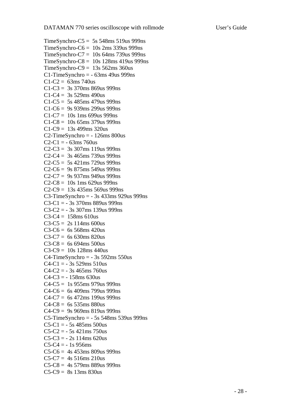```
TimeSynchro-C5 = 5s 548ms 519us 999ns
TimeSynchro-C6 = 10s 2ms 339us 999ns
TimeSynchro-C7 = 10s 64ms 739us 999ns 
TimeSynchro-C8 = 10s 128ms 419us 999ns 
TimeSynchro-C9 = 13s\,562\,\text{ms}\,360\,\text{us}C1-TimeSynchro = -63ms 49us 999ns
C1-C2 = 63ms 740us
C1-C3 = 3s 370ms 869us 999ns
C1-C4 = 3s 529ms 490us
C1-C5 = 5s 485ms 479us 999ns
C1-C6 = 9s 939ms 299us 999nsC1-C7 = 10s 1ms 699us 999ns
C1-C8 = 10s 65ms 379us 999ns
C1-C9 = 13s 499ms 320usC2-TimeSynchro = -126ms 800us
C2-C1 = -63ms 760us
C2-C3 = 3s 307ms 119us 999ns
C2-C4 = 3s \, 465 \, \text{ms} \, 739 \, \text{us} \, 999 \, \text{ns}C2-C5 = 5s 421ms 729us 999ns
C2-C6 = 9s 875ms 549us 999ns
C2-C7 = 9s 937ms 949us 999nsC2-C8 = 10s 1ms 629us 999ns
C2-C9 = 13s 435ms 569us 999nsC3-TimeSynchro = - 3s 433ms 929us 999ns
C3-C1 = -3s 370ms 889us 999ns
C3-C2 = -3s 307ms 139us 999ns
C3-C4 = 158ms 610us
C3-C5 = 2s 114ms 600us
C3-C6 = 6s 568ms 420usC3-C7 = 6s 630ms 820us
C3-C8 = 6s 694ms 500usC3-C9 = 10s 128ms 440us
C4-TimeSynchro = -3s 592ms 550us
C4-C1 = -3s 529ms 510us
C4-C2 = -3s 465ms 760us
C4-C3 = -158ms 630us
C4-C5 = 1s 955ms 979us 999ns
C4-C6 = 6s 409ms 799us 999ns
C4-C7 = 6s 472ms 199us 999ns
C4-C8 = 6s 535ms 880us
C4-C9 = 9s 969ms 819us 999nsC5-TimeSynchro = - 5s 548ms 539us 999ns 
C5-C1 = -5s 485ms 500us
C5-C2 = -5s 421ms 750us
C5-C3 = -2s 114ms 620us
C5-C4 = -1s 956ms
C5-C6 = 4s 453ms 809us 999ns
C5-C7 = 4s 516ms 210us
C5-C8 = 4s 579ms 889us 999nsC5-C9 = 8s 13ms 830us
```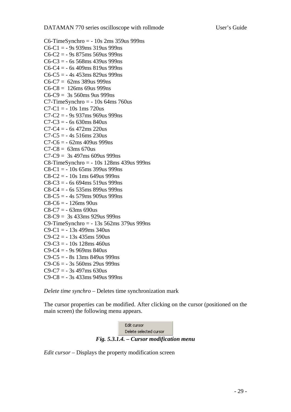<span id="page-28-0"></span>C6-TimeSynchro  $=$  - 10s 2ms 359us 999ns  $C6-C1 = -9s$  939ms 319us 999ns  $C6-C2 = -9s 875$ ms 569us 999ns  $C6-C3 = -6s$  568ms 439us 999ns  $C6-C4 = -6s$  409ms 819us 999ns  $C6-C5 = -4s 453ms 829us 999ns$  $C6-C7 = 62ms 389us 999ns$  $C6-C8 = 126$ ms 69us 999ns  $C6-C9 = 3s$  560ms 9us 999ns  $C7$ -TimeSynchro =  $-10s$  64ms 760us  $C7-C1 = -10s$  1ms 720us  $C7-C2 = -9s 937ms 969us 999ns$  $C7-C3 = -6s$  630ms 840us  $C7-C4 = -6s$  472ms 220us  $C7-C5 = -4s 516ms 230us$  $C7-C6 = -62ms\,409us\,999ns$  $C7-C8 = 63$ ms 670us  $C7-C9 = 3s$  497ms 609us 999ns C8-TimeSynchro = - 10s 128ms 439us 999ns  $C8-C1 = -10s$  65ms 399us 999ns  $C8-C2 = -10s$  1ms 649us 999ns  $C8-C3 = -6s 694ms 519us 999ns$  $C8-C4 = -6s$  535ms 899us 999ns  $C8-C5 = -4s$  579ms 909us 999ns  $C8-C6 = -126$ ms 90us  $C8-C7 = -63ms690us$ C8-C9 = 3s 433ms 929us 999ns C9-TimeSynchro = - 13s 562ms 379us 999ns  $C9 - C1 = -13s$  499ms 340us  $C9-C2 = -13s 435ms 590us$  $C9-C3 = -10s$  128ms 460us  $C9 - C4 = -9s 969$ ms 840us  $C9 - C5 = -8s$  13ms 849us 999ns  $C9 - C6 = -3s$  560ms 29us 999ns  $C9 - C7 = -3s$  497ms 630us  $C9-C8 = -3s$  433ms 949us 999ns

*Delete time synchro –* Deletes time synchronization mark

The cursor properties can be modified. After clicking on the cursor (positioned on the main screen) the following menu appears.



*Edit cursor* – Displays the property modification screen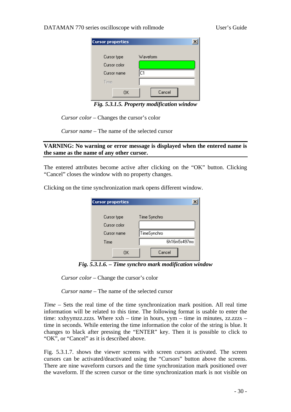### <span id="page-29-0"></span>DATAMAN 770 series oscilloscope with rollmode User's Guide

| <b>Cursor properties</b> |          |
|--------------------------|----------|
| Cursor type              | Waveform |
| Cursor color             |          |
| Cursor name              | C1       |
| Time                     |          |
| OΚ                       | Cancel   |

*Fig. 5.3.1.5. Property modification window* 

*Cursor color* – Changes the cursor's color

*Cursor name* – The name of the selected cursor

### **VARNING: No warning or error message is displayed when the entered name is the same as the name of any other cursor.**

The entered attributes become active after clicking on the "OK" button. Clicking "Cancel" closes the window with no property changes.

Clicking on the time synchronization mark opens different window.

| <b>Cursor properties</b>    |              |
|-----------------------------|--------------|
| Cursor type<br>Cursor color | Time Synchro |
| Cursor name                 | TimeSynchro  |
| Time                        | 6h16m5s497ms |
| ΟK                          | Cancel       |

*Fig. 5.3.1.6. – Time synchro mark modification window* 

*Cursor color* – Change the cursor's color

*Cursor name* – The name of the selected cursor

*Time* – Sets the real time of the time synchronization mark position. All real time information will be related to this time. The following format is usable to enter the time: xxhyymzz.zzzs. Where xxh – time in hours, yym – time in minutes, zz.zzzs – time in seconds. While entering the time information the color of the string is blue. It changes to black after pressing the "ENTER" key. Then it is possible to click to "OK", or "Cancel" as it is described above.

Fig. 5.3.1.7. shows the viewer screens with screen cursors activated. The screen cursors can be activated/deactivated using the "Cursors" button above the screens. There are nine waveform cursors and the time synchronization mark positioned over the waveform. If the screen cursor or the time synchronization mark is not visible on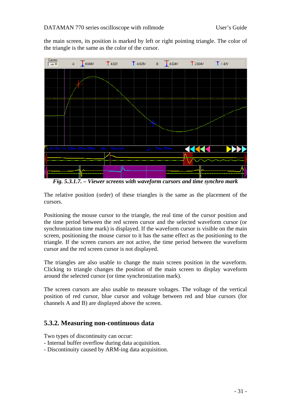<span id="page-30-0"></span>the main screen, its position is marked by left or right pointing triangle. The color of the triangle is the same as the color of the cursor.



*Fig. 5.3.1.7. – Viewer screens with waveform cursors and time synchro mark* 

The relative position (order) of these triangles is the same as the placement of the cursors.

Positioning the mouse cursor to the triangle, the real time of the cursor position and the time period between the red screen cursor and the selected waveform cursor (or synchronization time mark) is displayed. If the waveform cursor is visible on the main screen, positioning the mouse cursor to it has the same effect as the positioning to the triangle. If the screen cursors are not active, the time period between the waveform cursor and the red screen cursor is not displayed.

The triangles are also usable to change the main screen position in the waveform. Clicking to triangle changes the position of the main screen to display waveform around the selected cursor (or time synchronization mark).

The screen cursors are also usable to measure voltages. The voltage of the vertical position of red cursor, blue cursor and voltage between red and blue cursors (for channels A and B) are displayed above the screen.

# **5.3.2. Measuring non-continuous data**

Two types of discontinuity can occur:

- Internal buffer overflow during data acquisition.
- Discontinuity caused by ARM-ing data acquisition.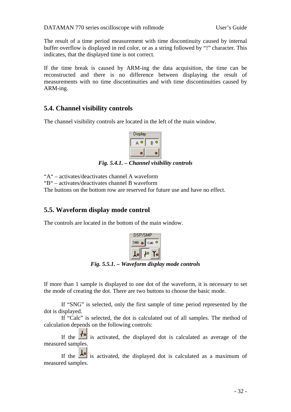<span id="page-31-0"></span>The result of a time period measurement with time discontinuity caused by internal buffer overflow is displayed in red color, or as a string followed by "!" character. This indicates, that the displayed time is not correct.

If the time break is caused by ARM-ing the data acquisition, the time can be reconstructed and there is no difference between displaying the result of measurements with no time discontinuities and with time discontinuities caused by ARM-ing.

# **5.4. Channel visibility controls**

The channel visibility controls are located in the left of the main window.



*Fig. 5.4.1. – Channel visibility controls* 

"A" – activates/deactivates channel A waveform

"B" – activates/deactivates channel B waveform

The buttons on the bottom row are reserved for future use and have no effect.

### **5.5. Waveform display mode control**

The controls are located in the bottom of the main window.



*Fig. 5.5.1. – Waveform display mode controls* 

If more than 1 sample is displayed to one dot of the waveform, it is necessary to set the mode of creating the dot. There are two buttons to choose the basic mode.

If "SNG" is selected, only the first sample of time period represented by the dot is displayed.

If "Calc" is selected, the dot is calculated out of all samples. The method of calculation depends on the following controls:

If the  $\mathbf{f}^{\bullet}$  is activated, the displayed dot is calculated as average of the measured samples.

If the  $\frac{1}{\sqrt{2}}$  is activated, the displayed dot is calculated as a maximum of measured samples.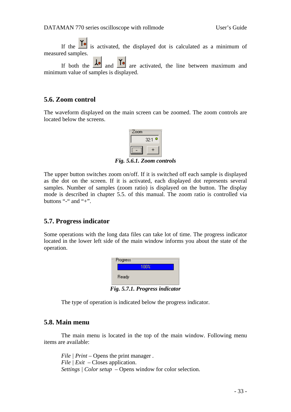<span id="page-32-0"></span>If the  $\overline{I}$  is activated, the displayed dot is calculated as a minimum of measured samples.

If both the  $\frac{1}{\sqrt{2}}$  and  $\frac{1}{\sqrt{2}}$  are activated, the line between maximum and minimum value of samples is displayed.

### **5.6. Zoom control**

The waveform displayed on the main screen can be zoomed. The zoom controls are located below the screens.



*Fig. 5.6.1. Zoom controls* 

The upper button switches zoom on/off. If it is switched off each sample is displayed as the dot on the screen. If it is activated, each displayed dot represents several samples. Number of samples (zoom ratio) is displayed on the button. The display mode is described in chapter 5.5. of this manual. The zoom ratio is controlled via buttons "-" and "+".

### **5.7. Progress indicator**

Some operations with the long data files can take lot of time. The progress indicator located in the lower left side of the main window informs you about the state of the operation.

| <b>Progress</b> |      |   |     |  |
|-----------------|------|---|-----|--|
|                 | 100% |   |     |  |
| Ready           |      |   |     |  |
|                 |      | - | - - |  |

*Fig. 5.7.1. Progress indicator* 

The type of operation is indicated below the progress indicator.

### **5.8. Main menu**

 The main menu is located in the top of the main window. Following menu items are available:

*File | Print –* Opens the print manager *. File | Exit –* Closes application. *Settings | Color setup* – Opens window for color selection.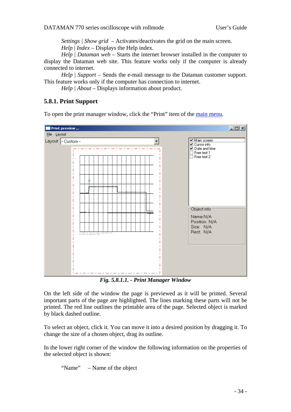*Settings | Show grid* – Activates/deactivates the grid on the main screen. *Help* | *Index –* Displays the Help index.

<span id="page-33-0"></span>*Help* | *Dataman web* – Starts the internet browser installed in the computer to display the Dataman web site. This feature works only if the computer is already connected to internet.

*Help* | *Support* – Sends the e-mail message to the Dataman customer support. This feature works only if the computer has connection to internet.

*Help | About* – Displays information about product.

### **5.8.1. Print Support**

To open the print manager window, click the "Print" item of the [main menu](#page-0-0).



*Fig. 5.8.1.1. - Print Manager Window* 

On the left side of the window the page is previewed as it will be printed. Several important parts of the page are highlighted. The lines marking these parts will not be printed. The red line outlines the printable area of the page. Selected object is marked by black dashed outline.

To select an object, click it. You can move it into a desired position by dragging it. To change the size of a chosen object, drag its outline.

In the lower right corner of the window the following information on the properties of the selected object is shown:

"Name" – Name of the object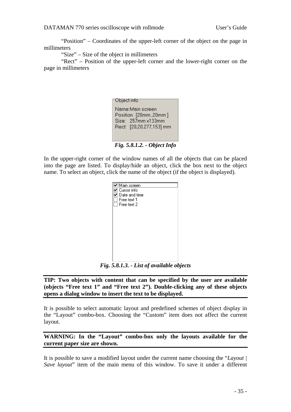<span id="page-34-0"></span>"Position" – Coordinates of the upper-left corner of the object on the page in millimeters

"Size" – Size of the object in millimeters

"Rect" – Position of the upper-left corner and the lower-right corner on the page in millimeters

| Object info                                                                                          |  |
|------------------------------------------------------------------------------------------------------|--|
| Name:Main screen<br>Position: [20mm, 20mm]<br>$Size: 257mm \times 133mm$<br>Rect: [20,20,277,153] mm |  |

*Fig. 5.8.1.2. - Object Info* 

In the upper-right corner of the window names of all the objects that can be placed into the page are listed. To display/hide an object, click the box next to the object name. To select an object, click the name of the object (if the object is displayed).

| ☑ Main screen<br>⊿ Cursor info<br>$\mathsf{\Sigma}\hspace{1pt}\mathsf{D}$ ate and time<br>Free text 1<br>$\Box$ Free text 2 |  |
|-----------------------------------------------------------------------------------------------------------------------------|--|
|                                                                                                                             |  |
|                                                                                                                             |  |

*Fig. 5.8.1.3. - List of available objects* 

**TIP: Two objects with content that can be specified by the user are available (objects "Free text 1" and "Free text 2"). Double-clicking any of these objects opens a dialog window to insert the text to be displayed.** 

It is possible to select automatic layout and predefined schemes of object display in the "Layout" combo-box. Choosing the "Custom" item does not affect the current layout.

**WARNING: In the "Layout" combo-box only the layouts available for the current paper size are shown.** 

It is possible to save a modified layout under the current name choosing the "*Layout | Save layout*" item of the main menu of this window. To save it under a different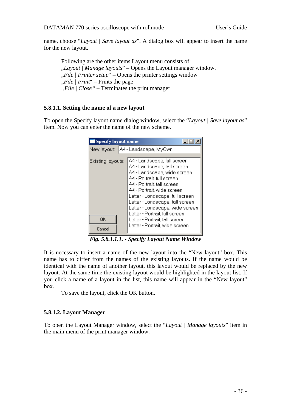<span id="page-35-0"></span>name, choose "*Layout | Save layout as*". A dialog box will appear to insert the name for the new layout.

Following are the other items Layout menu consists of: "*Layout | Manage layouts*" – Opens the Layout manager window. "*File | Printer setup*" – Opens the printer settings window "*File | Print*" – Prints the page *"File | Close" –* Terminates the print manager

### **5.8.1.1. Setting the name of a new layout**

To open the Specify layout name dialog window, select the "*Layout | Save layout as*" item. Now you can enter the name of the new scheme.

| <b>Specify layout name</b>           |                                                                                                                                                                                                                                                                                                                                                                                                    |  |  |  |
|--------------------------------------|----------------------------------------------------------------------------------------------------------------------------------------------------------------------------------------------------------------------------------------------------------------------------------------------------------------------------------------------------------------------------------------------------|--|--|--|
| A4 - Landscape, MyOwn<br>New layout: |                                                                                                                                                                                                                                                                                                                                                                                                    |  |  |  |
| Existing layouts:<br>0K<br>Cancel    | A4 - Landscape, full screen<br>A4 - Landscape, tall screen<br>A4 - Landscape, wide screen<br>A4 - Portrait, full screen<br>A4 - Portrait, tall screen<br>A4 - Portrait, wide screen<br>Letter - Landscape, full screen<br>Letter - Landscape, tall screen<br>Letter - Landscape, wide screen<br>Letter - Portrait, full screen<br>Letter - Portrait, tall screen<br>Letter - Portrait, wide screen |  |  |  |

*Fig. 5.8.1.1.1. - Specify Layout Name Window* 

It is necessary to insert a name of the new layout into the "New layout" box. This name has to differ from the names of the existing layouts. If the name would be identical with the name of another layout, this layout would be replaced by the new layout. At the same time the existing layout would be highlighted in the layout list. If you click a name of a layout in the list, this name will appear in the "New layout" box.

To save the layout, click the OK button.

### **5.8.1.2. Layout Manager**

To open the Layout Manager window, select the "*Layout | Manage layouts*" item in the main menu of the print manager window.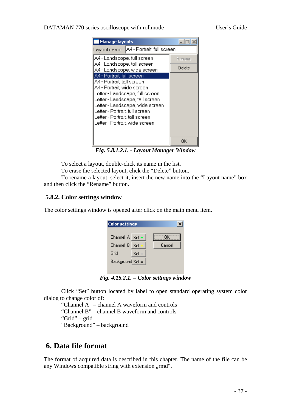### <span id="page-36-0"></span>DATAMAN 770 series oscilloscope with rollmode User's Guide

| <b>Manage layouts</b>                                                                                                                                                                                                                                                                                |        |  |
|------------------------------------------------------------------------------------------------------------------------------------------------------------------------------------------------------------------------------------------------------------------------------------------------------|--------|--|
| Layout name:   A4 - Portrait, full screen                                                                                                                                                                                                                                                            |        |  |
| A4 - Landscape, full screen                                                                                                                                                                                                                                                                          | Rename |  |
| A4 - Landscape, tall screen<br>A4 - Landscape, wide screen                                                                                                                                                                                                                                           | Delete |  |
| A4 - Portrait, full screen<br>A4 - Portrait, tall screen<br>A4 - Portrait wide screen<br>Letter - Landscape, full screen<br>Letter - Landscape, tall screen<br>Letter - Landscape, wide screen<br>Letter - Portrait, full screen<br>Letter - Portrait, tall screen<br>Letter - Portrait, wide screen |        |  |
|                                                                                                                                                                                                                                                                                                      | OΚ     |  |

*Fig. 5.8.1.2.1. - Layout Manager Window* 

To select a layout, double-click its name in the list.

To erase the selected layout, click the "Delete" button.

To rename a layout, select it, insert the new name into the "Layout name" box and then click the "Rename" button.

### **5.8.2. Color settings window**

The color settings window is opened after click on the main menu item.

| <b>Color settings</b> |      |        |
|-----------------------|------|--------|
| Channel A Set -       |      | ΠK     |
| Channel B             | -Set | Cancel |
| Grid                  | Set  |        |
| Background Set =      |      |        |
|                       |      |        |

*Fig. 4.15.2.1. – Color settings window* 

 Click "Set" button located by label to open standard operating system color dialog to change color of:

"Channel A" – channel A waveform and controls

"Channel B" – channel B waveform and controls

"Grid" – grid

"Background" – background

# **6. Data file format**

The format of acquired data is described in this chapter. The name of the file can be any Windows compatible string with extension "rmd".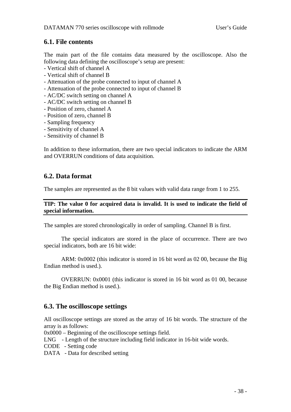# <span id="page-37-0"></span>**6.1. File contents**

The main part of the file contains data measured by the oscilloscope. Also the following data defining the oscilloscope's setup are present:

- Vertical shift of channel A
- Vertical shift of channel B
- Attenuation of the probe connected to input of channel A
- Attenuation of the probe connected to input of channel B
- AC/DC switch setting on channel A
- AC/DC switch setting on channel B
- Position of zero, channel A
- Position of zero, channel B
- Sampling frequency
- Sensitivity of channel A
- Sensitivity of channel B

In addition to these information, there are two special indicators to indicate the ARM and OVERRUN conditions of data acquisition.

# **6.2. Data format**

The samples are represented as the 8 bit values with valid data range from 1 to 255.

### **TIP: The value 0 for acquired data is invalid. It is used to indicate the field of special information.**

The samples are stored chronologically in order of sampling. Channel B is first.

The special indicators are stored in the place of occurrence. There are two special indicators, both are 16 bit wide:

ARM: 0x0002 (this indicator is stored in 16 bit word as 02 00, because the Big Endian method is used.).

OVERRUN: 0x0001 (this indicator is stored in 16 bit word as 01 00, because the Big Endian method is used.).

# **6.3. The oscilloscope settings**

All oscilloscope settings are stored as the array of 16 bit words. The structure of the array is as follows:

0x0000 – Beginning of the oscilloscope settings field.

LNG - Length of the structure including field indicator in 16-bit wide words.

- CODE Setting code
- DATA Data for described setting